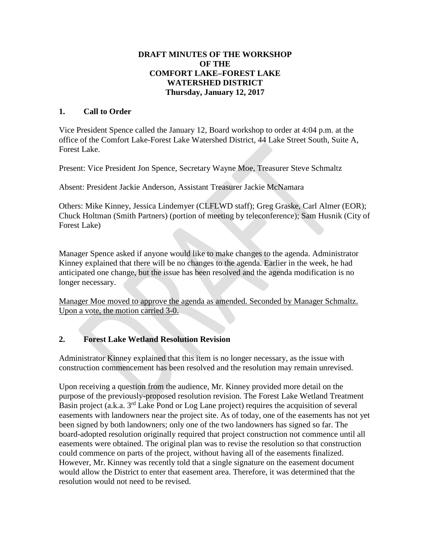### **DRAFT MINUTES OF THE WORKSHOP OF THE COMFORT LAKE–FOREST LAKE WATERSHED DISTRICT Thursday, January 12, 2017**

### **1. Call to Order**

Vice President Spence called the January 12, Board workshop to order at 4:04 p.m. at the office of the Comfort Lake-Forest Lake Watershed District, 44 Lake Street South, Suite A, Forest Lake.

Present: Vice President Jon Spence, Secretary Wayne Moe, Treasurer Steve Schmaltz

Absent: President Jackie Anderson, Assistant Treasurer Jackie McNamara

Others: Mike Kinney, Jessica Lindemyer (CLFLWD staff); Greg Graske, Carl Almer (EOR); Chuck Holtman (Smith Partners) (portion of meeting by teleconference); Sam Husnik (City of Forest Lake)

Manager Spence asked if anyone would like to make changes to the agenda. Administrator Kinney explained that there will be no changes to the agenda. Earlier in the week, he had anticipated one change, but the issue has been resolved and the agenda modification is no longer necessary.

Manager Moe moved to approve the agenda as amended. Seconded by Manager Schmaltz. Upon a vote, the motion carried 3-0.

## **2. Forest Lake Wetland Resolution Revision**

Administrator Kinney explained that this item is no longer necessary, as the issue with construction commencement has been resolved and the resolution may remain unrevised.

Upon receiving a question from the audience, Mr. Kinney provided more detail on the purpose of the previously-proposed resolution revision. The Forest Lake Wetland Treatment Basin project (a.k.a. 3rd Lake Pond or Log Lane project) requires the acquisition of several easements with landowners near the project site. As of today, one of the easements has not yet been signed by both landowners; only one of the two landowners has signed so far. The board-adopted resolution originally required that project construction not commence until all easements were obtained. The original plan was to revise the resolution so that construction could commence on parts of the project, without having all of the easements finalized. However, Mr. Kinney was recently told that a single signature on the easement document would allow the District to enter that easement area. Therefore, it was determined that the resolution would not need to be revised.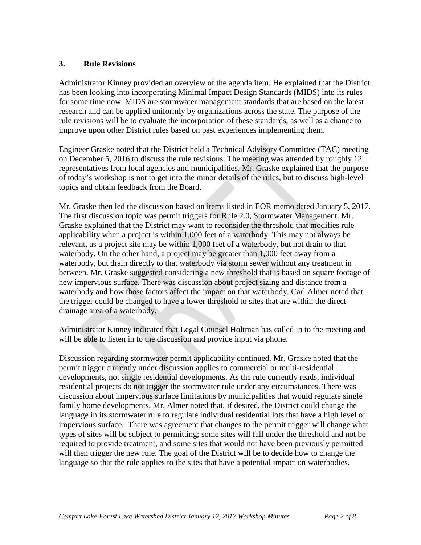#### **3. Rule Revisions**

Administrator Kinney provided an overview of the agenda item. He explained that the District has been looking into incorporating Minimal Impact Design Standards (MIDS) into its rules for some time now. MIDS are stormwater management standards that are based on the latest research and can be applied uniformly by organizations across the state. The purpose of the rule revisions will be to evaluate the incorporation of these standards, as well as a chance to improve upon other District rules based on past experiences implementing them.

Engineer Graske noted that the District held a Technical Advisory Committee (TAC) meeting on December 5, 2016 to discuss the rule revisions. The meeting was attended by roughly 12 representatives from local agencies and municipalities. Mr. Graske explained that the purpose of today's workshop is not to get into the minor details of the rules, but to discuss high-level topics and obtain feedback from the Board.

Mr. Graske then led the discussion based on items listed in EOR memo dated January 5, 2017. The first discussion topic was permit triggers for Rule 2.0, Stormwater Management. Mr. Graske explained that the District may want to reconsider the threshold that modifies rule applicability when a project is within 1,000 feet of a waterbody. This may not always be relevant, as a project site may be within 1,000 feet of a waterbody, but not drain to that waterbody. On the other hand, a project may be greater than 1,000 feet away from a waterbody, but drain directly to that waterbody via storm sewer without any treatment in between. Mr. Graske suggested considering a new threshold that is based on square footage of new impervious surface. There was discussion about project sizing and distance from a waterbody and how those factors affect the impact on that waterbody. Carl Almer noted that the trigger could be changed to have a lower threshold to sites that are within the direct drainage area of a waterbody.

Administrator Kinney indicated that Legal Counsel Holtman has called in to the meeting and will be able to listen in to the discussion and provide input via phone.

Discussion regarding stormwater permit applicability continued. Mr. Graske noted that the permit trigger currently under discussion applies to commercial or multi-residential developments, not single residential developments. As the rule currently reads, individual residential projects do not trigger the stormwater rule under any circumstances. There was discussion about impervious surface limitations by municipalities that would regulate single family home developments. Mr. Almer noted that, if desired, the District could change the language in its stormwater rule to regulate individual residential lots that have a high level of impervious surface. There was agreement that changes to the permit trigger will change what types of sites will be subject to permitting; some sites will fall under the threshold and not be required to provide treatment, and some sites that would not have been previously permitted will then trigger the new rule. The goal of the District will be to decide how to change the language so that the rule applies to the sites that have a potential impact on waterbodies.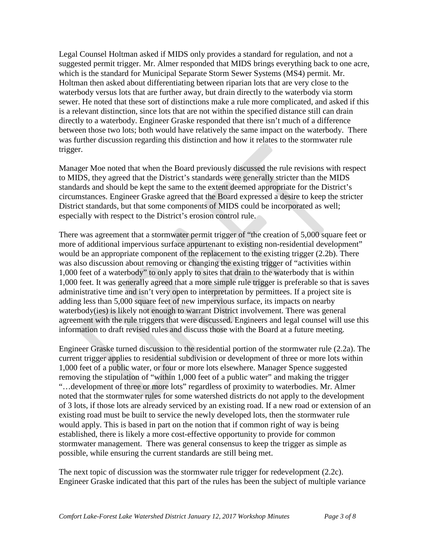Legal Counsel Holtman asked if MIDS only provides a standard for regulation, and not a suggested permit trigger. Mr. Almer responded that MIDS brings everything back to one acre, which is the standard for Municipal Separate Storm Sewer Systems (MS4) permit. Mr. Holtman then asked about differentiating between riparian lots that are very close to the waterbody versus lots that are further away, but drain directly to the waterbody via storm sewer. He noted that these sort of distinctions make a rule more complicated, and asked if this is a relevant distinction, since lots that are not within the specified distance still can drain directly to a waterbody. Engineer Graske responded that there isn't much of a difference between those two lots; both would have relatively the same impact on the waterbody. There was further discussion regarding this distinction and how it relates to the stormwater rule trigger.

Manager Moe noted that when the Board previously discussed the rule revisions with respect to MIDS, they agreed that the District's standards were generally stricter than the MIDS standards and should be kept the same to the extent deemed appropriate for the District's circumstances. Engineer Graske agreed that the Board expressed a desire to keep the stricter District standards, but that some components of MIDS could be incorporated as well; especially with respect to the District's erosion control rule.

There was agreement that a stormwater permit trigger of "the creation of 5,000 square feet or more of additional impervious surface appurtenant to existing non-residential development" would be an appropriate component of the replacement to the existing trigger (2.2b). There was also discussion about removing or changing the existing trigger of "activities within 1,000 feet of a waterbody" to only apply to sites that drain to the waterbody that is within 1,000 feet. It was generally agreed that a more simple rule trigger is preferable so that is saves administrative time and isn't very open to interpretation by permittees. If a project site is adding less than 5,000 square feet of new impervious surface, its impacts on nearby waterbody(ies) is likely not enough to warrant District involvement. There was general agreement with the rule triggers that were discussed. Engineers and legal counsel will use this information to draft revised rules and discuss those with the Board at a future meeting.

Engineer Graske turned discussion to the residential portion of the stormwater rule (2.2a). The current trigger applies to residential subdivision or development of three or more lots within 1,000 feet of a public water, or four or more lots elsewhere. Manager Spence suggested removing the stipulation of "within 1,000 feet of a public water" and making the trigger "…development of three or more lots" regardless of proximity to waterbodies. Mr. Almer noted that the stormwater rules for some watershed districts do not apply to the development of 3 lots, if those lots are already serviced by an existing road. If a new road or extension of an existing road must be built to service the newly developed lots, then the stormwater rule would apply. This is based in part on the notion that if common right of way is being established, there is likely a more cost-effective opportunity to provide for common stormwater management. There was general consensus to keep the trigger as simple as possible, while ensuring the current standards are still being met.

The next topic of discussion was the stormwater rule trigger for redevelopment (2.2c). Engineer Graske indicated that this part of the rules has been the subject of multiple variance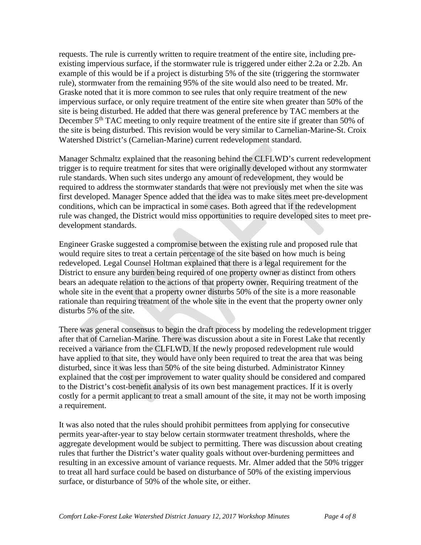requests. The rule is currently written to require treatment of the entire site, including preexisting impervious surface, if the stormwater rule is triggered under either 2.2a or 2.2b. An example of this would be if a project is disturbing 5% of the site (triggering the stormwater rule), stormwater from the remaining 95% of the site would also need to be treated. Mr. Graske noted that it is more common to see rules that only require treatment of the new impervious surface, or only require treatment of the entire site when greater than 50% of the site is being disturbed. He added that there was general preference by TAC members at the December 5<sup>th</sup> TAC meeting to only require treatment of the entire site if greater than 50% of the site is being disturbed. This revision would be very similar to Carnelian-Marine-St. Croix Watershed District's (Carnelian-Marine) current redevelopment standard.

Manager Schmaltz explained that the reasoning behind the CLFLWD's current redevelopment trigger is to require treatment for sites that were originally developed without any stormwater rule standards. When such sites undergo any amount of redevelopment, they would be required to address the stormwater standards that were not previously met when the site was first developed. Manager Spence added that the idea was to make sites meet pre-development conditions, which can be impractical in some cases. Both agreed that if the redevelopment rule was changed, the District would miss opportunities to require developed sites to meet predevelopment standards.

Engineer Graske suggested a compromise between the existing rule and proposed rule that would require sites to treat a certain percentage of the site based on how much is being redeveloped. Legal Counsel Holtman explained that there is a legal requirement for the District to ensure any burden being required of one property owner as distinct from others bears an adequate relation to the actions of that property owner. Requiring treatment of the whole site in the event that a property owner disturbs 50% of the site is a more reasonable rationale than requiring treatment of the whole site in the event that the property owner only disturbs 5% of the site.

There was general consensus to begin the draft process by modeling the redevelopment trigger after that of Carnelian-Marine. There was discussion about a site in Forest Lake that recently received a variance from the CLFLWD. If the newly proposed redevelopment rule would have applied to that site, they would have only been required to treat the area that was being disturbed, since it was less than 50% of the site being disturbed. Administrator Kinney explained that the cost per improvement to water quality should be considered and compared to the District's cost-benefit analysis of its own best management practices. If it is overly costly for a permit applicant to treat a small amount of the site, it may not be worth imposing a requirement.

It was also noted that the rules should prohibit permittees from applying for consecutive permits year-after-year to stay below certain stormwater treatment thresholds, where the aggregate development would be subject to permitting. There was discussion about creating rules that further the District's water quality goals without over-burdening permittees and resulting in an excessive amount of variance requests. Mr. Almer added that the 50% trigger to treat all hard surface could be based on disturbance of 50% of the existing impervious surface, or disturbance of 50% of the whole site, or either.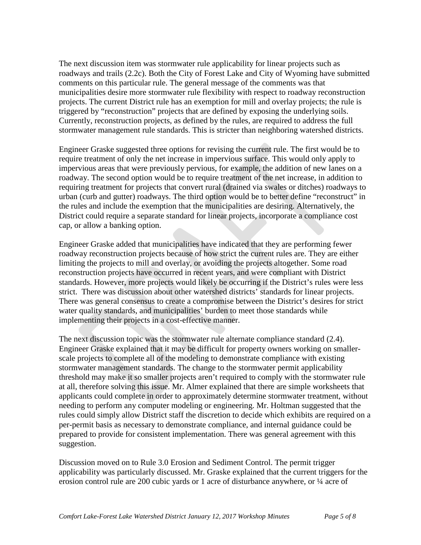The next discussion item was stormwater rule applicability for linear projects such as roadways and trails (2.2c). Both the City of Forest Lake and City of Wyoming have submitted comments on this particular rule. The general message of the comments was that municipalities desire more stormwater rule flexibility with respect to roadway reconstruction projects. The current District rule has an exemption for mill and overlay projects; the rule is triggered by "reconstruction" projects that are defined by exposing the underlying soils. Currently, reconstruction projects, as defined by the rules, are required to address the full stormwater management rule standards. This is stricter than neighboring watershed districts.

Engineer Graske suggested three options for revising the current rule. The first would be to require treatment of only the net increase in impervious surface. This would only apply to impervious areas that were previously pervious, for example, the addition of new lanes on a roadway. The second option would be to require treatment of the net increase, in addition to requiring treatment for projects that convert rural (drained via swales or ditches) roadways to urban (curb and gutter) roadways. The third option would be to better define "reconstruct" in the rules and include the exemption that the municipalities are desiring. Alternatively, the District could require a separate standard for linear projects, incorporate a compliance cost cap, or allow a banking option.

Engineer Graske added that municipalities have indicated that they are performing fewer roadway reconstruction projects because of how strict the current rules are. They are either limiting the projects to mill and overlay, or avoiding the projects altogether. Some road reconstruction projects have occurred in recent years, and were compliant with District standards. However, more projects would likely be occurring if the District's rules were less strict. There was discussion about other watershed districts' standards for linear projects. There was general consensus to create a compromise between the District's desires for strict water quality standards, and municipalities' burden to meet those standards while implementing their projects in a cost-effective manner.

The next discussion topic was the stormwater rule alternate compliance standard (2.4). Engineer Graske explained that it may be difficult for property owners working on smallerscale projects to complete all of the modeling to demonstrate compliance with existing stormwater management standards. The change to the stormwater permit applicability threshold may make it so smaller projects aren't required to comply with the stormwater rule at all, therefore solving this issue. Mr. Almer explained that there are simple worksheets that applicants could complete in order to approximately determine stormwater treatment, without needing to perform any computer modeling or engineering. Mr. Holtman suggested that the rules could simply allow District staff the discretion to decide which exhibits are required on a per-permit basis as necessary to demonstrate compliance, and internal guidance could be prepared to provide for consistent implementation. There was general agreement with this suggestion.

Discussion moved on to Rule 3.0 Erosion and Sediment Control. The permit trigger applicability was particularly discussed. Mr. Graske explained that the current triggers for the erosion control rule are 200 cubic vards or 1 acre of disturbance anywhere, or  $\frac{1}{4}$  acre of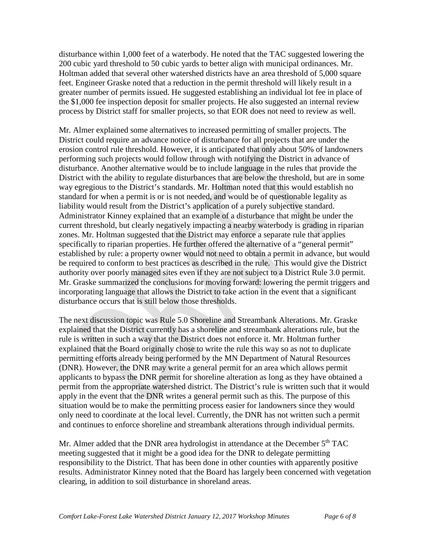disturbance within 1,000 feet of a waterbody. He noted that the TAC suggested lowering the 200 cubic yard threshold to 50 cubic yards to better align with municipal ordinances. Mr. Holtman added that several other watershed districts have an area threshold of 5,000 square feet. Engineer Graske noted that a reduction in the permit threshold will likely result in a greater number of permits issued. He suggested establishing an individual lot fee in place of the \$1,000 fee inspection deposit for smaller projects. He also suggested an internal review process by District staff for smaller projects, so that EOR does not need to review as well.

Mr. Almer explained some alternatives to increased permitting of smaller projects. The District could require an advance notice of disturbance for all projects that are under the erosion control rule threshold. However, it is anticipated that only about 50% of landowners performing such projects would follow through with notifying the District in advance of disturbance. Another alternative would be to include language in the rules that provide the District with the ability to regulate disturbances that are below the threshold, but are in some way egregious to the District's standards. Mr. Holtman noted that this would establish no standard for when a permit is or is not needed, and would be of questionable legality as liability would result from the District's application of a purely subjective standard. Administrator Kinney explained that an example of a disturbance that might be under the current threshold, but clearly negatively impacting a nearby waterbody is grading in riparian zones. Mr. Holtman suggested that the District may enforce a separate rule that applies specifically to riparian properties. He further offered the alternative of a "general permit" established by rule: a property owner would not need to obtain a permit in advance, but would be required to conform to best practices as described in the rule. This would give the District authority over poorly managed sites even if they are not subject to a District Rule 3.0 permit. Mr. Graske summarized the conclusions for moving forward: lowering the permit triggers and incorporating language that allows the District to take action in the event that a significant disturbance occurs that is still below those thresholds.

The next discussion topic was Rule 5.0 Shoreline and Streambank Alterations. Mr. Graske explained that the District currently has a shoreline and streambank alterations rule, but the rule is written in such a way that the District does not enforce it. Mr. Holtman further explained that the Board originally chose to write the rule this way so as not to duplicate permitting efforts already being performed by the MN Department of Natural Resources (DNR). However, the DNR may write a general permit for an area which allows permit applicants to bypass the DNR permit for shoreline alteration as long as they have obtained a permit from the appropriate watershed district. The District's rule is written such that it would apply in the event that the DNR writes a general permit such as this. The purpose of this situation would be to make the permitting process easier for landowners since they would only need to coordinate at the local level. Currently, the DNR has not written such a permit and continues to enforce shoreline and streambank alterations through individual permits.

Mr. Almer added that the DNR area hydrologist in attendance at the December  $5<sup>th</sup> TAC$ meeting suggested that it might be a good idea for the DNR to delegate permitting responsibility to the District. That has been done in other counties with apparently positive results. Administrator Kinney noted that the Board has largely been concerned with vegetation clearing, in addition to soil disturbance in shoreland areas.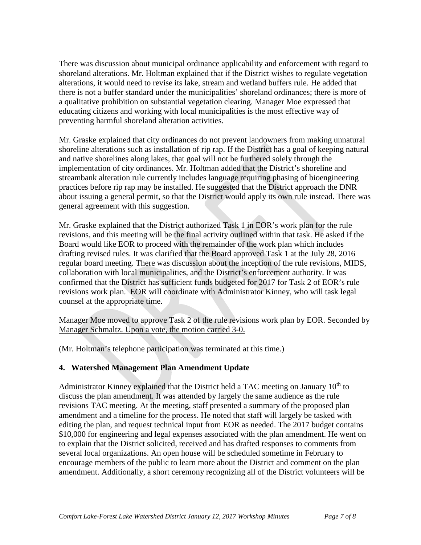There was discussion about municipal ordinance applicability and enforcement with regard to shoreland alterations. Mr. Holtman explained that if the District wishes to regulate vegetation alterations, it would need to revise its lake, stream and wetland buffers rule. He added that there is not a buffer standard under the municipalities' shoreland ordinances; there is more of a qualitative prohibition on substantial vegetation clearing. Manager Moe expressed that educating citizens and working with local municipalities is the most effective way of preventing harmful shoreland alteration activities.

Mr. Graske explained that city ordinances do not prevent landowners from making unnatural shoreline alterations such as installation of rip rap. If the District has a goal of keeping natural and native shorelines along lakes, that goal will not be furthered solely through the implementation of city ordinances. Mr. Holtman added that the District's shoreline and streambank alteration rule currently includes language requiring phasing of bioengineering practices before rip rap may be installed. He suggested that the District approach the DNR about issuing a general permit, so that the District would apply its own rule instead. There was general agreement with this suggestion.

Mr. Graske explained that the District authorized Task 1 in EOR's work plan for the rule revisions, and this meeting will be the final activity outlined within that task. He asked if the Board would like EOR to proceed with the remainder of the work plan which includes drafting revised rules. It was clarified that the Board approved Task 1 at the July 28, 2016 regular board meeting. There was discussion about the inception of the rule revisions, MIDS, collaboration with local municipalities, and the District's enforcement authority. It was confirmed that the District has sufficient funds budgeted for 2017 for Task 2 of EOR's rule revisions work plan. EOR will coordinate with Administrator Kinney, who will task legal counsel at the appropriate time.

Manager Moe moved to approve Task 2 of the rule revisions work plan by EOR. Seconded by Manager Schmaltz. Upon a vote, the motion carried 3-0.

(Mr. Holtman's telephone participation was terminated at this time.)

## **4. Watershed Management Plan Amendment Update**

Administrator Kinney explained that the District held a TAC meeting on January  $10<sup>th</sup>$  to discuss the plan amendment. It was attended by largely the same audience as the rule revisions TAC meeting. At the meeting, staff presented a summary of the proposed plan amendment and a timeline for the process. He noted that staff will largely be tasked with editing the plan, and request technical input from EOR as needed. The 2017 budget contains \$10,000 for engineering and legal expenses associated with the plan amendment. He went on to explain that the District solicited, received and has drafted responses to comments from several local organizations. An open house will be scheduled sometime in February to encourage members of the public to learn more about the District and comment on the plan amendment. Additionally, a short ceremony recognizing all of the District volunteers will be